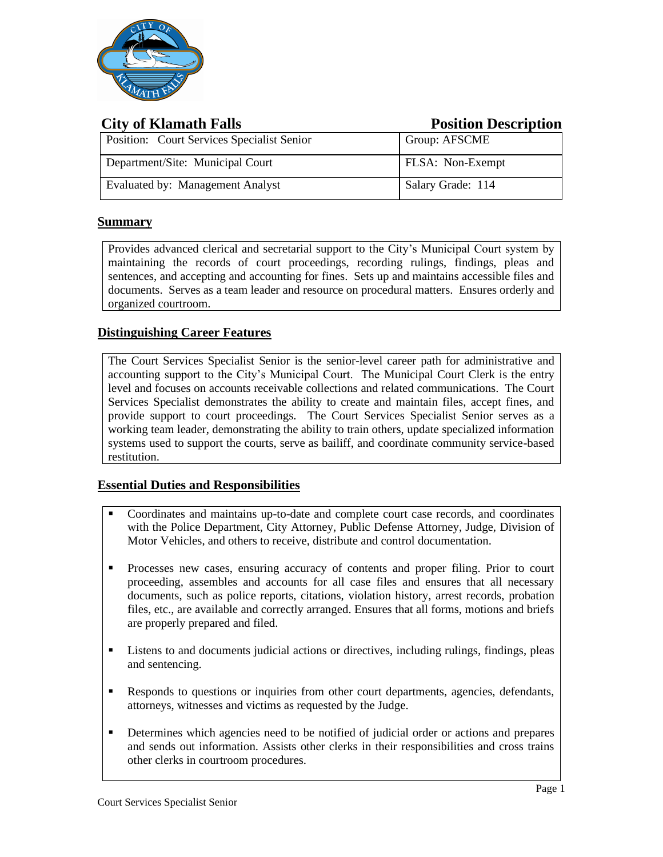

| <b>City of Klamath Falls</b>               | <b>Position Description</b> |
|--------------------------------------------|-----------------------------|
| Position: Court Services Specialist Senior | Group: AFSCME               |
| Department/Site: Municipal Court           | FLSA: Non-Exempt            |
| Evaluated by: Management Analyst           | Salary Grade: 114           |

# **Summary**

Provides advanced clerical and secretarial support to the City's Municipal Court system by maintaining the records of court proceedings, recording rulings, findings, pleas and sentences, and accepting and accounting for fines. Sets up and maintains accessible files and documents. Serves as a team leader and resource on procedural matters. Ensures orderly and organized courtroom.

# **Distinguishing Career Features**

The Court Services Specialist Senior is the senior-level career path for administrative and accounting support to the City's Municipal Court. The Municipal Court Clerk is the entry level and focuses on accounts receivable collections and related communications. The Court Services Specialist demonstrates the ability to create and maintain files, accept fines, and provide support to court proceedings. The Court Services Specialist Senior serves as a working team leader, demonstrating the ability to train others, update specialized information systems used to support the courts, serve as bailiff, and coordinate community service-based restitution.

# **Essential Duties and Responsibilities**

- Coordinates and maintains up-to-date and complete court case records, and coordinates with the Police Department, City Attorney, Public Defense Attorney, Judge, Division of Motor Vehicles, and others to receive, distribute and control documentation.
- **•** Processes new cases, ensuring accuracy of contents and proper filing. Prior to court proceeding, assembles and accounts for all case files and ensures that all necessary documents, such as police reports, citations, violation history, arrest records, probation files, etc., are available and correctly arranged. Ensures that all forms, motions and briefs are properly prepared and filed.
- **EXECUTE:** Listens to and documents judicial actions or directives, including rulings, findings, pleas and sentencing.
- **EXECUTE:** Responds to questions or inquiries from other court departments, agencies, defendants, attorneys, witnesses and victims as requested by the Judge.
- **•** Determines which agencies need to be notified of judicial order or actions and prepares and sends out information. Assists other clerks in their responsibilities and cross trains other clerks in courtroom procedures.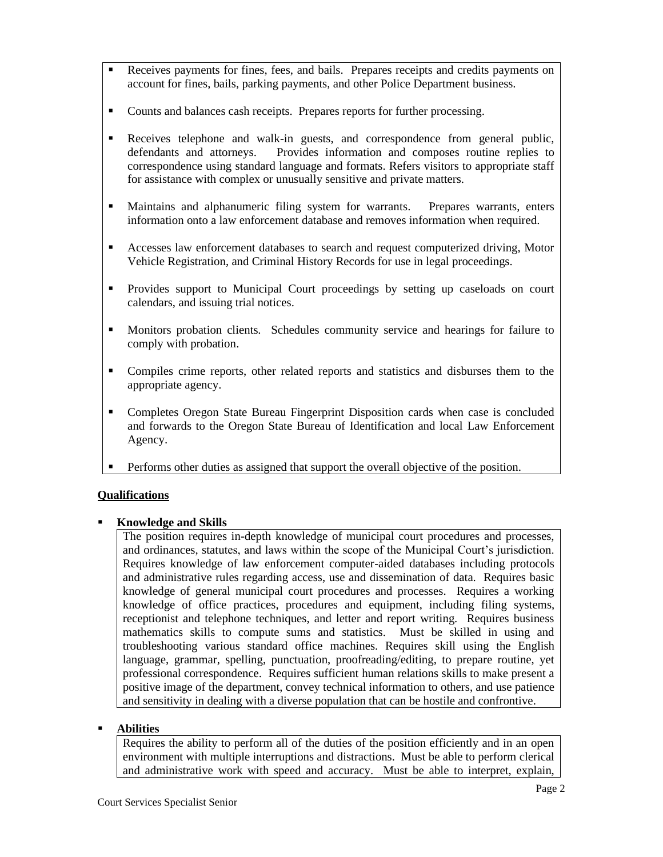- Receives payments for fines, fees, and bails. Prepares receipts and credits payments on account for fines, bails, parking payments, and other Police Department business.
- Counts and balances cash receipts. Prepares reports for further processing.
- Receives telephone and walk-in guests, and correspondence from general public, defendants and attorneys. Provides information and composes routine replies to correspondence using standard language and formats. Refers visitors to appropriate staff for assistance with complex or unusually sensitive and private matters.
- Maintains and alphanumeric filing system for warrants. Prepares warrants, enters information onto a law enforcement database and removes information when required.
- Accesses law enforcement databases to search and request computerized driving, Motor Vehicle Registration, and Criminal History Records for use in legal proceedings.
- Provides support to Municipal Court proceedings by setting up caseloads on court calendars, and issuing trial notices.
- Monitors probation clients. Schedules community service and hearings for failure to comply with probation.
- Compiles crime reports, other related reports and statistics and disburses them to the appropriate agency.
- Completes Oregon State Bureau Fingerprint Disposition cards when case is concluded and forwards to the Oregon State Bureau of Identification and local Law Enforcement Agency.
- **•** Performs other duties as assigned that support the overall objective of the position.

# **Qualifications**

# ▪ **Knowledge and Skills**

The position requires in-depth knowledge of municipal court procedures and processes, and ordinances, statutes, and laws within the scope of the Municipal Court's jurisdiction. Requires knowledge of law enforcement computer-aided databases including protocols and administrative rules regarding access, use and dissemination of data. Requires basic knowledge of general municipal court procedures and processes. Requires a working knowledge of office practices, procedures and equipment, including filing systems, receptionist and telephone techniques, and letter and report writing. Requires business mathematics skills to compute sums and statistics. Must be skilled in using and troubleshooting various standard office machines. Requires skill using the English language, grammar, spelling, punctuation, proofreading/editing, to prepare routine, yet professional correspondence. Requires sufficient human relations skills to make present a positive image of the department, convey technical information to others, and use patience and sensitivity in dealing with a diverse population that can be hostile and confrontive.

# ▪ **Abilities**

Requires the ability to perform all of the duties of the position efficiently and in an open environment with multiple interruptions and distractions. Must be able to perform clerical and administrative work with speed and accuracy. Must be able to interpret, explain,